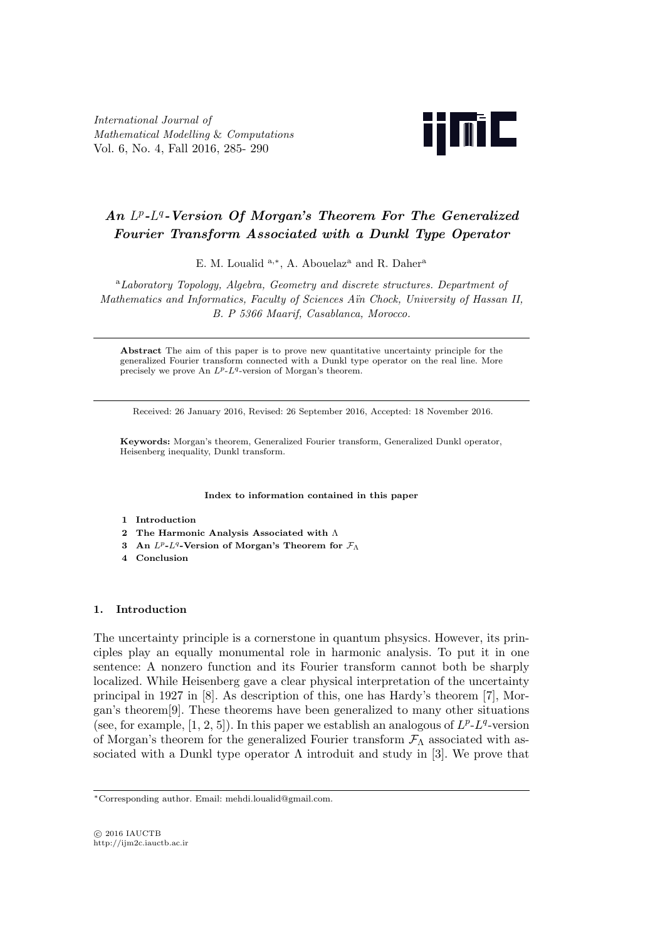*International Journal of Mathematical Modelling* & *Computations* Vol. 6, No. 4, Fall 2016, 285- 290



# *An L p -L q -Version Of Morgan's Theorem For The Generalized Fourier Transform Associated with a Dunkl Type Operator*

E. M. Loualid <sup>a,\*</sup>, A. Abouelaz<sup>a</sup> and R. Daher<sup>a</sup>

<sup>a</sup>*Laboratory Topology, Algebra, Geometry and discrete structures. Department of Mathematics and Informatics, Faculty of Sciences A¨ın Chock, University of Hassan II, B. P 5366 Maarif, Casablanca, Morocco.*

**Abstract** The aim of this paper is to prove new quantitative uncertainty principle for the generalized Fourier transform connected with a Dunkl type operator on the real line. More precisely we prove An *Lp*-*L<sup>q</sup>* -version of Morgan's theorem.

Received: 26 January 2016, Revised: 26 September 2016, Accepted: 18 November 2016.

**Keywords:** Morgan's theorem, Generalized Fourier transform, Generalized Dunkl operator, Heisenberg inequality, Dunkl transform.

**Index to information contained in this paper**

- **1 Introduction**
- **2 The Harmonic Analysis Associated with** Λ
- **3 An** *Lp***-***L<sup>q</sup>* **-Version of Morgan's Theorem for** *F*<sup>Λ</sup>
- **4 Conclusion**

### **1. Introduction**

The uncertainty principle is a cornerstone in quantum phsysics. However, its principles play an equally monumental role in harmonic analysis. To put it in one sentence: A nonzero function and its Fourier transform cannot both be sharply localized. While Heisenberg gave a clear physical interpretation of the uncertainty principal in 1927 in [8]. As description of this, one has Hardy's theorem [7], Morgan's theorem[9]. These theorems have been generalized to many other situations (see, for example,  $[1, 2, 5]$ ). In this paper we establish an analogous of  $L^p$ - $L^q$ -version of Morgan's theorem for the generalized Fourier transform *F*<sup>Λ</sup> associated with associated with a Dunkl type operator  $\Lambda$  introduit and study in [3]. We prove that

*<sup>∗</sup>*Corresponding author. Email: mehdi.loualid@gmail.com.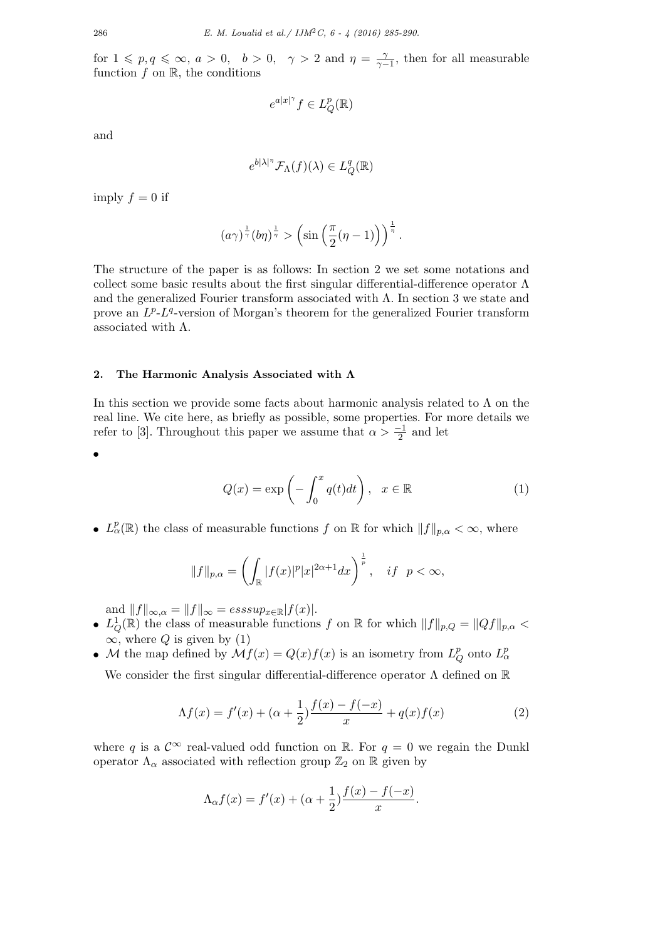for  $1 \leqslant p, q \leqslant \infty, a > 0, b > 0, \gamma > 2$  and  $\eta = \frac{1}{\gamma - 1}$  $\frac{\gamma}{\gamma-1}$ , then for all measurable function  $f$  on  $\mathbb{R}$ , the conditions

$$
e^{a|x|^\gamma}f\in L^p_Q(\mathbb{R})
$$

and

$$
e^{b|\lambda|^{\eta}}\mathcal{F}_{\Lambda}(f)(\lambda) \in L_{Q}^{q}(\mathbb{R})
$$

imply  $f = 0$  if

$$
(a\gamma)^{\frac{1}{\gamma}}(b\eta)^{\frac{1}{\eta}} > \left(\sin\left(\frac{\pi}{2}(\eta-1)\right)\right)^{\frac{1}{\eta}}.
$$

The structure of the paper is as follows: In section 2 we set some notations and collect some basic results about the first singular differential-difference operator  $\Lambda$ and the generalized Fourier transform associated with  $\Lambda$ . In section 3 we state and prove an  $L^p$ - $L^q$ -version of Morgan's theorem for the generalized Fourier transform associated with  $\Lambda$ .

#### **2. The Harmonic Analysis Associated with Λ**

In this section we provide some facts about harmonic analysis related to  $\Lambda$  on the real line. We cite here, as briefly as possible, some properties. For more details we refer to [3]. Throughout this paper we assume that  $\alpha > \frac{-1}{2}$  and let

*•*

$$
Q(x) = \exp\left(-\int_0^x q(t)dt\right), \quad x \in \mathbb{R} \tag{1}
$$

•  $L^p_\alpha(\mathbb{R})$  the class of measurable functions *f* on  $\mathbb{R}$  for which  $||f||_{p,\alpha} < \infty$ , where

$$
||f||_{p,\alpha} = \left(\int_{\mathbb{R}} |f(x)|^p |x|^{2\alpha+1} dx\right)^{\frac{1}{p}}, \quad \text{if } p < \infty,
$$

and  $||f||_{\infty, \alpha} = ||f||_{\infty} = \operatorname{esssup}_{x \in \mathbb{R}} |f(x)|$ .

- $L_Q^1(\mathbb{R})$  the class of measurable functions *f* on  $\mathbb{R}$  for which  $||f||_{p,Q} = ||Qf||_{p,Q}$  $\infty$ , where *Q* is given by (1)
- *M* the map defined by  $\mathcal{M}f(x) = Q(x)f(x)$  is an isometry from  $L^p$ *Q* onto *L p α*

We consider the first singular differential-difference operator  $\Lambda$  defined on  $\mathbb R$ 

$$
\Lambda f(x) = f'(x) + (\alpha + \frac{1}{2})\frac{f(x) - f(-x)}{x} + q(x)f(x) \tag{2}
$$

where *q* is a  $\mathcal{C}^{\infty}$  real-valued odd function on R. For  $q = 0$  we regain the Dunkl operator  $\Lambda_{\alpha}$  associated with reflection group  $\mathbb{Z}_2$  on  $\mathbb R$  given by

$$
\Lambda_{\alpha}f(x) = f'(x) + (\alpha + \frac{1}{2})\frac{f(x) - f(-x)}{x}.
$$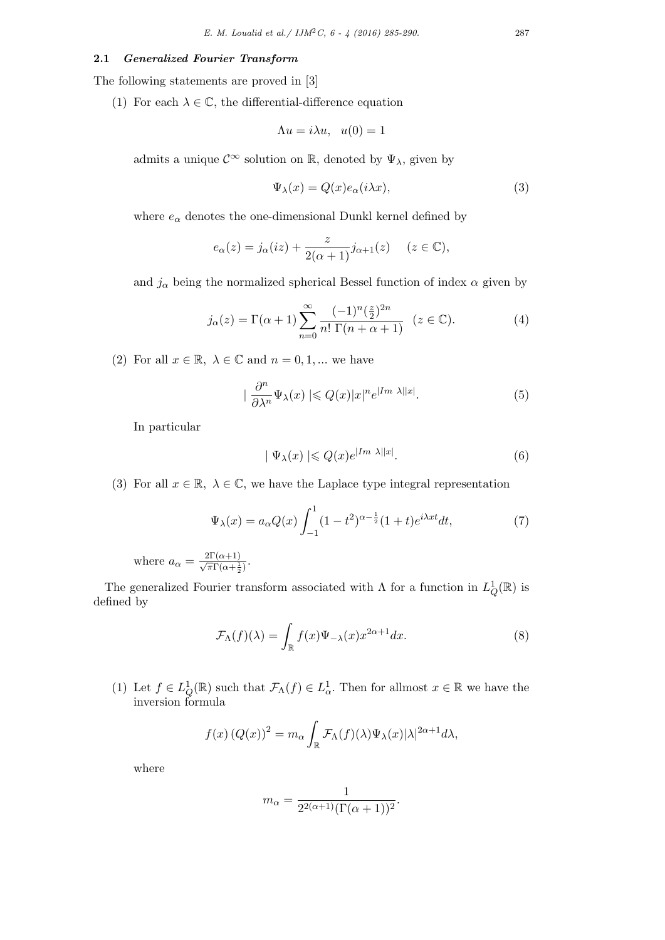#### **2.1** *Generalized Fourier Transform*

The following statements are proved in [3]

(1) For each  $\lambda \in \mathbb{C}$ , the differential-difference equation

$$
\Lambda u = i\lambda u, \quad u(0) = 1
$$

admits a unique  $\mathcal{C}^{\infty}$  solution on  $\mathbb{R}$ , denoted by  $\Psi_{\lambda}$ , given by

$$
\Psi_{\lambda}(x) = Q(x)e_{\alpha}(i\lambda x),\tag{3}
$$

where  $e_{\alpha}$  denotes the one-dimensional Dunkl kernel defined by

$$
e_{\alpha}(z) = j_{\alpha}(iz) + \frac{z}{2(\alpha+1)}j_{\alpha+1}(z) \quad (z \in \mathbb{C}),
$$

and  $j_{\alpha}$  being the normalized spherical Bessel function of index  $\alpha$  given by

$$
j_{\alpha}(z) = \Gamma(\alpha + 1) \sum_{n=0}^{\infty} \frac{(-1)^n (\frac{z}{2})^{2n}}{n! \Gamma(n + \alpha + 1)} \quad (z \in \mathbb{C}).
$$
 (4)

(2) For all  $x \in \mathbb{R}$ ,  $\lambda \in \mathbb{C}$  and  $n = 0, 1, ...$  we have

$$
|\frac{\partial^n}{\partial \lambda^n} \Psi_\lambda(x)| \leqslant Q(x)|x|^n e^{|Im \lambda||x|}.\tag{5}
$$

In particular

$$
|\Psi_{\lambda}(x)| \leqslant Q(x)e^{|Im \lambda||x|}.\tag{6}
$$

(3) For all  $x \in \mathbb{R}$ ,  $\lambda \in \mathbb{C}$ , we have the Laplace type integral representation

$$
\Psi_{\lambda}(x) = a_{\alpha}Q(x) \int_{-1}^{1} (1 - t^2)^{\alpha - \frac{1}{2}} (1 + t)e^{i\lambda x t} dt,
$$
\n(7)

where  $a_{\alpha} = \frac{2\Gamma(\alpha+1)}{\sqrt{\pi}\Gamma(\alpha+\frac{1}{2})}$ .

The generalized Fourier transform associated with  $\Lambda$  for a function in  $L^1_Q(\mathbb{R})$  is defined by

$$
\mathcal{F}_{\Lambda}(f)(\lambda) = \int_{\mathbb{R}} f(x)\Psi_{-\lambda}(x)x^{2\alpha+1}dx.
$$
 (8)

(1) Let  $f \in L^1_Q(\mathbb{R})$  such that  $\mathcal{F}_{\Lambda}(f) \in L^1_{\alpha}$ . Then for allmost  $x \in \mathbb{R}$  we have the inversion formula

$$
f(x) (Q(x))^{2} = m_{\alpha} \int_{\mathbb{R}} \mathcal{F}_{\Lambda}(f)(\lambda) \Psi_{\lambda}(x) |\lambda|^{2\alpha+1} d\lambda,
$$

where

$$
m_{\alpha} = \frac{1}{2^{2(\alpha+1)}(\Gamma(\alpha+1))^{2}}.
$$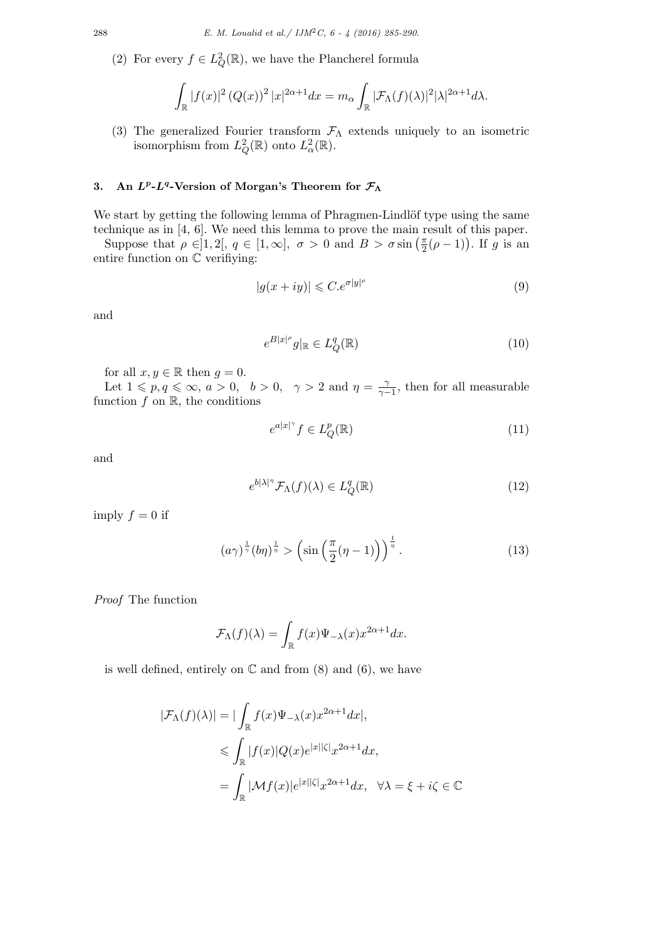(2) For every  $f \in L^2_Q(\mathbb{R})$ , we have the Plancherel formula

$$
\int_{\mathbb{R}} |f(x)|^2 (Q(x))^2 |x|^{2\alpha+1} dx = m_\alpha \int_{\mathbb{R}} |\mathcal{F}_\Lambda(f)(\lambda)|^2 |\lambda|^{2\alpha+1} d\lambda.
$$

(3) The generalized Fourier transform *F*<sup>Λ</sup> extends uniquely to an isometric isomorphism from  $L^2_Q(\mathbb{R})$  onto  $L^2_\alpha(\mathbb{R})$ .

## **3. An** *L<sup>p</sup>* **-***L<sup>q</sup>* **-Version of Morgan's Theorem for** *F***<sup>Λ</sup>**

We start by getting the following lemma of Phragmen-Lindlöf type using the same technique as in [4, 6]. We need this lemma to prove the main result of this paper.

Suppose that  $\rho \in ]1,2[, q \in [1,\infty], \sigma > 0 \text{ and } B > \sigma \sin \left( \frac{\pi}{2} \right)$  $\frac{\pi}{2}(\rho-1)$ ). If  $g$  is an entire function on C verifiying:

$$
|g(x+iy)| \leqslant C.e^{\sigma|y|^{\rho}}
$$
\n(9)

and

$$
e^{B|x|^\rho}g|_{\mathbb{R}} \in L_Q^q(\mathbb{R})\tag{10}
$$

for all  $x, y \in \mathbb{R}$  then  $g = 0$ .

Let  $1 \leqslant p, q \leqslant \infty$ ,  $a > 0$ ,  $b > 0$ ,  $\gamma > 2$  and  $\eta = \frac{1}{\gamma - 1}$  $\frac{\gamma}{\gamma-1}$ , then for all measurable function  $f$  on  $\mathbb{R}$ , the conditions

$$
e^{a|x|^\gamma} f \in L_Q^p(\mathbb{R})
$$
\n<sup>(11)</sup>

and

$$
e^{b|\lambda|^\eta} \mathcal{F}_\Lambda(f)(\lambda) \in L^q_Q(\mathbb{R}) \tag{12}
$$

imply  $f = 0$  if

$$
(a\gamma)^{\frac{1}{\gamma}}(b\eta)^{\frac{1}{\eta}} > \left(\sin\left(\frac{\pi}{2}(\eta-1)\right)\right)^{\frac{1}{\eta}}.
$$
 (13)

*Proof* The function

$$
\mathcal{F}_{\Lambda}(f)(\lambda) = \int_{\mathbb{R}} f(x) \Psi_{-\lambda}(x) x^{2\alpha + 1} dx.
$$

is well defined, entirely on  $\mathbb C$  and from  $(8)$  and  $(6)$ , we have

$$
|\mathcal{F}_{\Lambda}(f)(\lambda)| = |\int_{\mathbb{R}} f(x)\Psi_{-\lambda}(x)x^{2\alpha+1}dx|,
$$
  
\n
$$
\leq \int_{\mathbb{R}} |f(x)|Q(x)e^{|x||\zeta|}x^{2\alpha+1}dx,
$$
  
\n
$$
= \int_{\mathbb{R}} |\mathcal{M}f(x)|e^{|x||\zeta|}x^{2\alpha+1}dx, \quad \forall \lambda = \xi + i\zeta \in \mathbb{C}
$$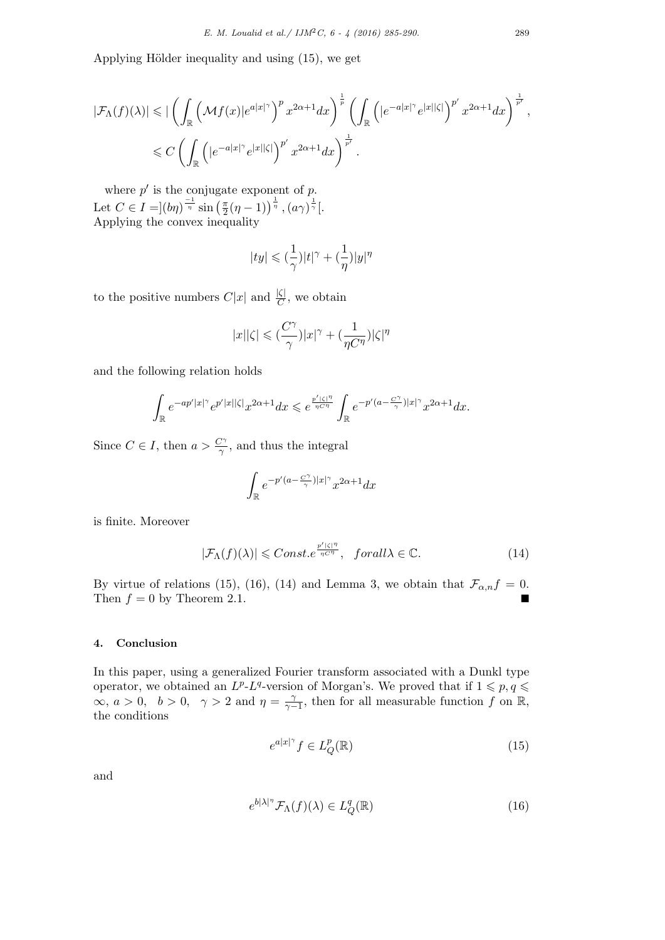Applying Hölder inequality and using  $(15)$ , we get

$$
\begin{split} |\mathcal{F}_{\Lambda}(f)(\lambda)| &\leqslant \big|\left(\int_{\mathbb{R}}\left(\mathcal{M}f(x)|e^{a|x|^{\gamma}}\right)^{p}x^{2\alpha+1}dx\right)^{\frac{1}{p}}\left(\int_{\mathbb{R}}\left(|e^{-a|x|^{\gamma}}e^{|x||\zeta|}\right)^{p'}x^{2\alpha+1}dx\right)^{\frac{1}{p'}},\\ &\leqslant C\left(\int_{\mathbb{R}}\left(|e^{-a|x|^{\gamma}}e^{|x||\zeta|}\right)^{p'}x^{2\alpha+1}dx\right)^{\frac{1}{p'}}. \end{split}
$$

where  $p'$  is the conjugate exponent of  $p$ . Let  $C \in I = |(b\eta)^{\frac{-1}{\eta}} \sin\left(\frac{\pi}{2}\right)$  $\frac{\pi}{2}(\eta-1))^{\frac{1}{\eta}}\,,(a\gamma)^{\frac{1}{\gamma}}[.$ Applying the convex inequality

$$
|ty|\leqslant(\frac{1}{\gamma})|t|^{\gamma}+(\frac{1}{\eta})|y|^{\eta}
$$

to the positive numbers  $C|x|$  and  $\frac{|\zeta|}{C}$ , we obtain

$$
|x||\zeta|\leqslant(\frac{C^\gamma}{\gamma})|x|^\gamma+(\frac{1}{\eta C^\eta})|\zeta|^\eta
$$

and the following relation holds

$$
\int_{\mathbb{R}} e^{-ap'|x|^{\gamma}} e^{p'|x||\zeta|} x^{2\alpha+1} dx \leqslant e^{\frac{p'|\zeta|^\eta}{\eta C^\eta}} \int_{\mathbb{R}} e^{-p'(a-\frac{C^\gamma}{\gamma})|x|^{\gamma}} x^{2\alpha+1} dx.
$$

Since  $C \in I$ , then  $a > \frac{C^{\gamma}}{\gamma}$ , and thus the integral

$$
\int_{\mathbb{R}} e^{-p'(a-\frac{C^\gamma}{\gamma})|x|^\gamma} x^{2\alpha+1} dx
$$

is finite. Moreover

$$
|\mathcal{F}_{\Lambda}(f)(\lambda)| \leqslant Const.e^{\frac{p'|\zeta|^{\eta}}{\eta C^{\eta}}}, \quad for all \lambda \in \mathbb{C}.
$$
 (14)

By virtue of relations (15), (16), (14) and Lemma 3, we obtain that  $\mathcal{F}_{\alpha,n}f = 0$ . Then  $f = 0$  by Theorem 2.1.

### **4. Conclusion**

In this paper, using a generalized Fourier transform associated with a Dunkl type operator, we obtained an  $L^p$ - $L^q$ -version of Morgan's. We proved that if  $1 \leqslant p, q \leqslant$  $\alpha$ , *a* > 0, *b* > 0, γ > 2 and *η* =  $\frac{\gamma}{\gamma - 1}$  $\frac{\gamma}{\gamma-1}$ , then for all measurable function *f* on R, the conditions

$$
e^{a|x|^\gamma} f \in L_Q^p(\mathbb{R})
$$
\n<sup>(15)</sup>

and

$$
e^{b|\lambda|^{\eta}} \mathcal{F}_{\Lambda}(f)(\lambda) \in L^q_Q(\mathbb{R})
$$
\n(16)